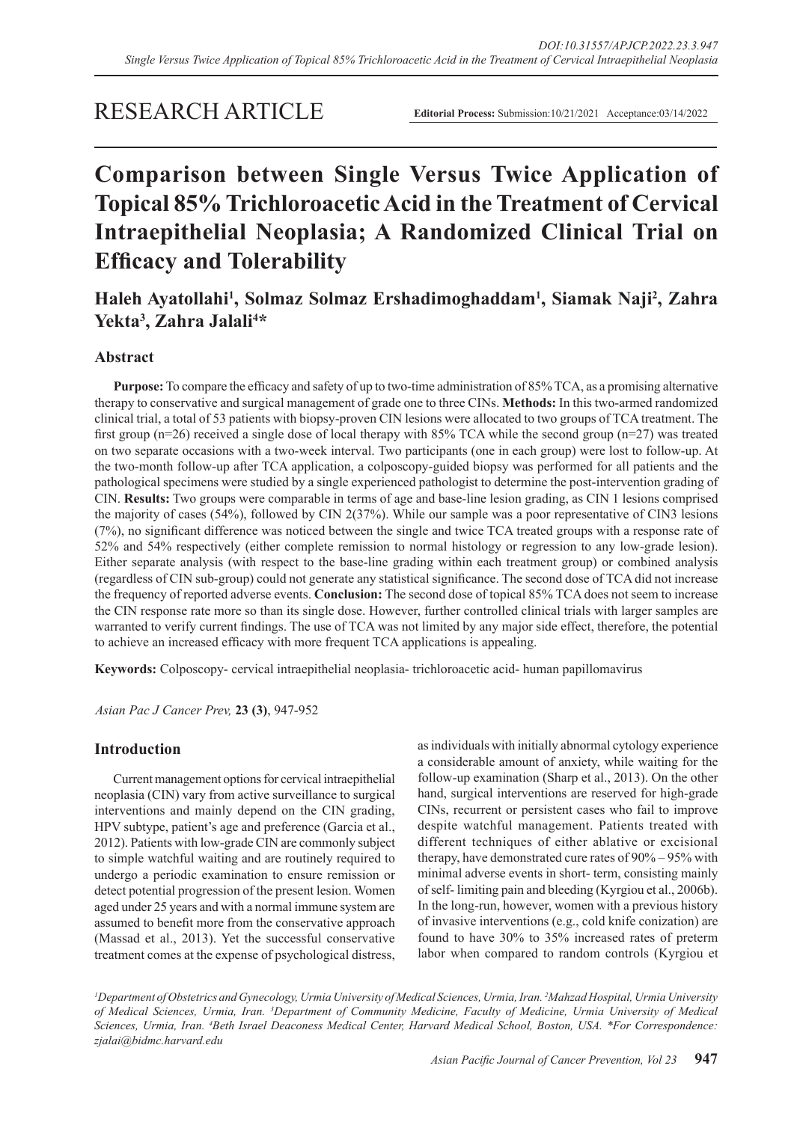# RESEARCH ARTICLE

**Editorial Process:** Submission:10/21/2021 Acceptance:03/14/2022

# **Comparison between Single Versus Twice Application of Topical 85% Trichloroacetic Acid in the Treatment of Cervical Intraepithelial Neoplasia; A Randomized Clinical Trial on Efficacy and Tolerability**

# **Haleh Ayatollahi1 , Solmaz Solmaz Ershadimoghaddam1 , Siamak Naji2 , Zahra**  Yekta<sup>3</sup>, Zahra Jalali<sup>4\*</sup>

# **Abstract**

**Purpose:** To compare the efficacy and safety of up to two-time administration of 85% TCA, as a promising alternative therapy to conservative and surgical management of grade one to three CINs. **Methods:** In this two-armed randomized clinical trial, a total of 53 patients with biopsy-proven CIN lesions were allocated to two groups of TCA treatment. The first group (n=26) received a single dose of local therapy with 85% TCA while the second group (n=27) was treated on two separate occasions with a two-week interval. Two participants (one in each group) were lost to follow-up. At the two-month follow-up after TCA application, a colposcopy-guided biopsy was performed for all patients and the pathological specimens were studied by a single experienced pathologist to determine the post-intervention grading of CIN. **Results:** Two groups were comparable in terms of age and base-line lesion grading, as CIN 1 lesions comprised the majority of cases (54%), followed by CIN 2(37%). While our sample was a poor representative of CIN3 lesions (7%), no significant difference was noticed between the single and twice TCA treated groups with a response rate of 52% and 54% respectively (either complete remission to normal histology or regression to any low-grade lesion). Either separate analysis (with respect to the base-line grading within each treatment group) or combined analysis (regardless of CIN sub-group) could not generate any statistical significance. The second dose of TCA did not increase the frequency of reported adverse events. **Conclusion:** The second dose of topical 85% TCA does not seem to increase the CIN response rate more so than its single dose. However, further controlled clinical trials with larger samples are warranted to verify current findings. The use of TCA was not limited by any major side effect, therefore, the potential to achieve an increased efficacy with more frequent TCA applications is appealing.

**Keywords:** Colposcopy- cervical intraepithelial neoplasia- trichloroacetic acid- human papillomavirus

*Asian Pac J Cancer Prev,* **23 (3)**, 947-952

## **Introduction**

Current management options for cervical intraepithelial neoplasia (CIN) vary from active surveillance to surgical interventions and mainly depend on the CIN grading, HPV subtype, patient's age and preference (Garcia et al., 2012). Patients with low-grade CIN are commonly subject to simple watchful waiting and are routinely required to undergo a periodic examination to ensure remission or detect potential progression of the present lesion. Women aged under 25 years and with a normal immune system are assumed to benefit more from the conservative approach (Massad et al., 2013). Yet the successful conservative treatment comes at the expense of psychological distress, as individuals with initially abnormal cytology experience a considerable amount of anxiety, while waiting for the follow-up examination (Sharp et al., 2013). On the other hand, surgical interventions are reserved for high-grade CINs, recurrent or persistent cases who fail to improve despite watchful management. Patients treated with different techniques of either ablative or excisional therapy, have demonstrated cure rates of 90% – 95% with minimal adverse events in short- term, consisting mainly of self- limiting pain and bleeding (Kyrgiou et al., 2006b). In the long-run, however, women with a previous history of invasive interventions (e.g., cold knife conization) are found to have 30% to 35% increased rates of preterm labor when compared to random controls (Kyrgiou et

*1 Department of Obstetrics and Gynecology, Urmia University of Medical Sciences, Urmia, Iran. 2 Mahzad Hospital, Urmia University of Medical Sciences, Urmia, Iran. 3 Department of Community Medicine, Faculty of Medicine, Urmia University of Medical Sciences, Urmia, Iran. 4 Beth Israel Deaconess Medical Center, Harvard Medical School, Boston, USA. \*For Correspondence: zjalai@bidmc.harvard.edu*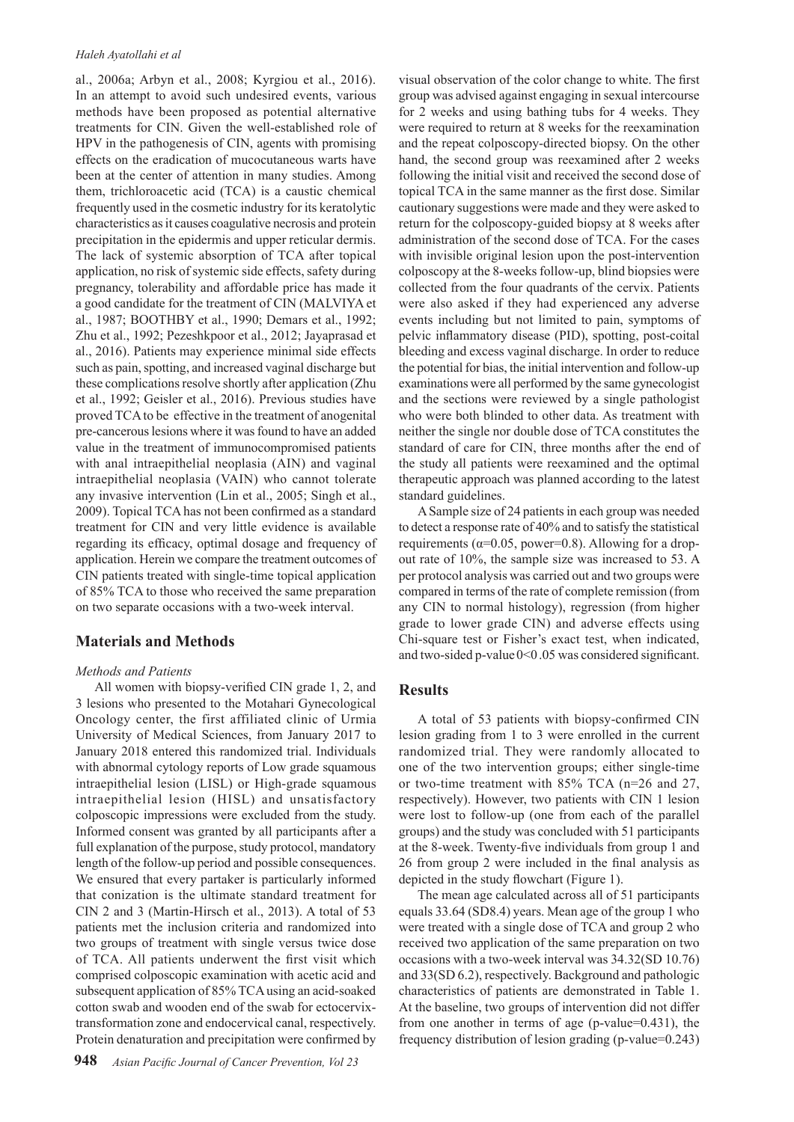al., 2006a; Arbyn et al., 2008; Kyrgiou et al., 2016). In an attempt to avoid such undesired events, various methods have been proposed as potential alternative treatments for CIN. Given the well-established role of HPV in the pathogenesis of CIN, agents with promising effects on the eradication of mucocutaneous warts have been at the center of attention in many studies. Among them, trichloroacetic acid (TCA) is a caustic chemical frequently used in the cosmetic industry for its keratolytic characteristics as it causes coagulative necrosis and protein precipitation in the epidermis and upper reticular dermis. The lack of systemic absorption of TCA after topical application, no risk of systemic side effects, safety during pregnancy, tolerability and affordable price has made it a good candidate for the treatment of CIN (MALVIYA et al., 1987; BOOTHBY et al., 1990; Demars et al., 1992; Zhu et al., 1992; Pezeshkpoor et al., 2012; Jayaprasad et al., 2016). Patients may experience minimal side effects such as pain, spotting, and increased vaginal discharge but these complications resolve shortly after application (Zhu et al., 1992; Geisler et al., 2016). Previous studies have proved TCA to be effective in the treatment of anogenital pre-cancerous lesions where it was found to have an added value in the treatment of immunocompromised patients with anal intraepithelial neoplasia (AIN) and vaginal intraepithelial neoplasia (VAIN) who cannot tolerate any invasive intervention (Lin et al., 2005; Singh et al., 2009). Topical TCA has not been confirmed as a standard treatment for CIN and very little evidence is available regarding its efficacy, optimal dosage and frequency of application. Herein we compare the treatment outcomes of CIN patients treated with single-time topical application of 85% TCA to those who received the same preparation on two separate occasions with a two-week interval.

# **Materials and Methods**

#### *Methods and Patients*

All women with biopsy-verified CIN grade 1, 2, and 3 lesions who presented to the Motahari Gynecological Oncology center, the first affiliated clinic of Urmia University of Medical Sciences, from January 2017 to January 2018 entered this randomized trial. Individuals with abnormal cytology reports of Low grade squamous intraepithelial lesion (LISL) or High-grade squamous intraepithelial lesion (HISL) and unsatisfactory colposcopic impressions were excluded from the study. Informed consent was granted by all participants after a full explanation of the purpose, study protocol, mandatory length of the follow-up period and possible consequences. We ensured that every partaker is particularly informed that conization is the ultimate standard treatment for CIN 2 and 3 (Martin-Hirsch et al., 2013). A total of 53 patients met the inclusion criteria and randomized into two groups of treatment with single versus twice dose of TCA. All patients underwent the first visit which comprised colposcopic examination with acetic acid and subsequent application of 85% TCA using an acid-soaked cotton swab and wooden end of the swab for ectocervixtransformation zone and endocervical canal, respectively. Protein denaturation and precipitation were confirmed by

visual observation of the color change to white. The first group was advised against engaging in sexual intercourse for 2 weeks and using bathing tubs for 4 weeks. They were required to return at 8 weeks for the reexamination and the repeat colposcopy-directed biopsy. On the other hand, the second group was reexamined after 2 weeks following the initial visit and received the second dose of topical TCA in the same manner as the first dose. Similar cautionary suggestions were made and they were asked to return for the colposcopy-guided biopsy at 8 weeks after administration of the second dose of TCA. For the cases with invisible original lesion upon the post-intervention colposcopy at the 8-weeks follow-up, blind biopsies were collected from the four quadrants of the cervix. Patients were also asked if they had experienced any adverse events including but not limited to pain, symptoms of pelvic inflammatory disease (PID), spotting, post-coital bleeding and excess vaginal discharge. In order to reduce the potential for bias, the initial intervention and follow-up examinations were all performed by the same gynecologist and the sections were reviewed by a single pathologist who were both blinded to other data. As treatment with neither the single nor double dose of TCA constitutes the standard of care for CIN, three months after the end of the study all patients were reexamined and the optimal therapeutic approach was planned according to the latest standard guidelines.

A Sample size of 24 patients in each group was needed to detect a response rate of 40% and to satisfy the statistical requirements ( $\alpha$ =0.05, power=0.8). Allowing for a dropout rate of 10%, the sample size was increased to 53. A per protocol analysis was carried out and two groups were compared in terms of the rate of complete remission (from any CIN to normal histology), regression (from higher grade to lower grade CIN) and adverse effects using Chi-square test or Fisher's exact test, when indicated, and two-sided p-value  $0<0.05$  was considered significant.

# **Results**

A total of 53 patients with biopsy-confirmed CIN lesion grading from 1 to 3 were enrolled in the current randomized trial. They were randomly allocated to one of the two intervention groups; either single-time or two-time treatment with 85% TCA (n=26 and 27, respectively). However, two patients with CIN 1 lesion were lost to follow-up (one from each of the parallel groups) and the study was concluded with 51 participants at the 8-week. Twenty-five individuals from group 1 and 26 from group 2 were included in the final analysis as depicted in the study flowchart (Figure 1).

The mean age calculated across all of 51 participants equals 33.64 (SD8.4) years. Mean age of the group 1 who were treated with a single dose of TCA and group 2 who received two application of the same preparation on two occasions with a two-week interval was 34.32(SD 10.76) and 33(SD 6.2), respectively. Background and pathologic characteristics of patients are demonstrated in Table 1. At the baseline, two groups of intervention did not differ from one another in terms of age (p-value=0.431), the frequency distribution of lesion grading (p-value=0.243)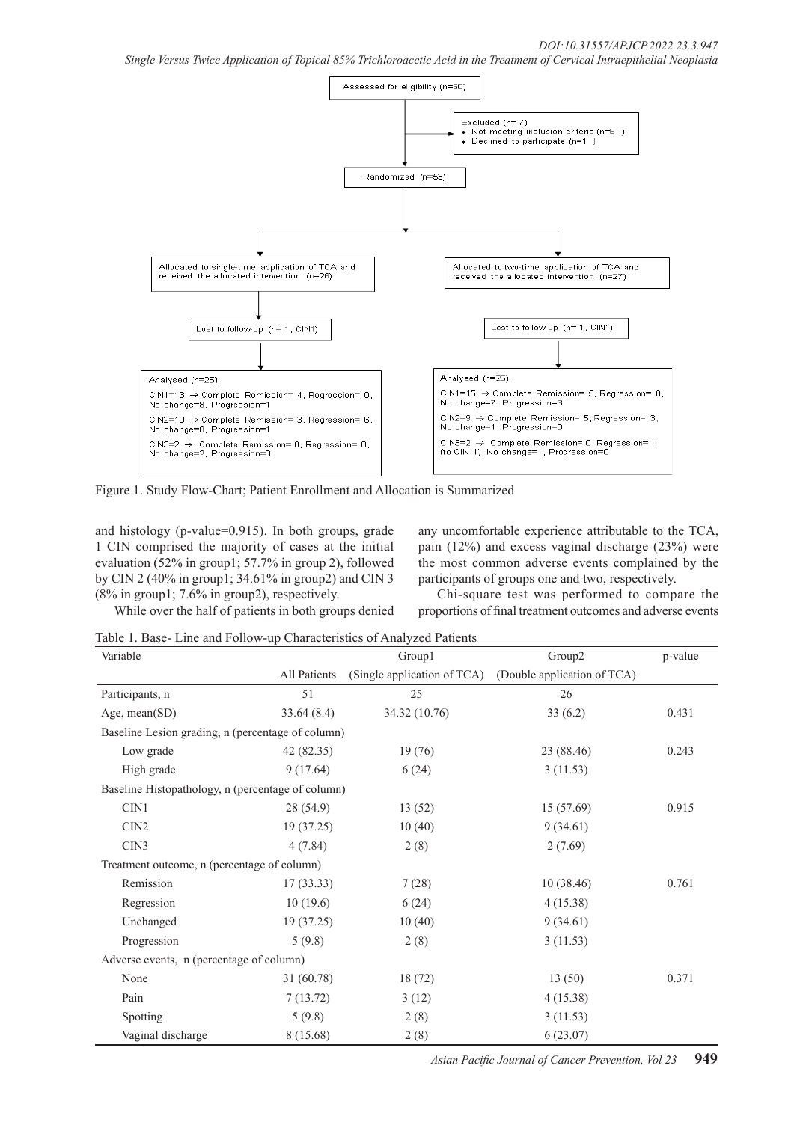*Single Versus Twice Application of Topical 85% Trichloroacetic Acid in the Treatment of Cervical Intraepithelial Neoplasia*



Figure 1. Study Flow-Chart; Patient Enrollment and Allocation is Summarized

and histology (p-value=0.915). In both groups, grade 1 CIN comprised the majority of cases at the initial evaluation (52% in group1; 57.7% in group 2), followed by CIN 2 (40% in group1; 34.61% in group2) and CIN 3 (8% in group1; 7.6% in group2), respectively.

While over the half of patients in both groups denied

any uncomfortable experience attributable to the TCA, pain (12%) and excess vaginal discharge (23%) were the most common adverse events complained by the participants of groups one and two, respectively.

Chi-square test was performed to compare the proportions of final treatment outcomes and adverse events

Table 1. Base- Line and Follow-up Characteristics of Analyzed Patients

| Variable                                          |              | Group1                      | Group2                      | p-value |  |  |  |
|---------------------------------------------------|--------------|-----------------------------|-----------------------------|---------|--|--|--|
|                                                   | All Patients | (Single application of TCA) | (Double application of TCA) |         |  |  |  |
| Participants, n                                   | 51           | 25                          | 26                          |         |  |  |  |
| Age, mean(SD)                                     | 33.64(8.4)   | 34.32 (10.76)               | 33(6.2)                     | 0.431   |  |  |  |
| Baseline Lesion grading, n (percentage of column) |              |                             |                             |         |  |  |  |
| Low grade                                         | 42 (82.35)   | 19(76)                      | 23 (88.46)                  | 0.243   |  |  |  |
| High grade                                        | 9(17.64)     | 6(24)                       | 3(11.53)                    |         |  |  |  |
| Baseline Histopathology, n (percentage of column) |              |                             |                             |         |  |  |  |
| CIN1                                              | 28 (54.9)    | 13(52)                      | 15 (57.69)                  | 0.915   |  |  |  |
| CIN <sub>2</sub>                                  | 19 (37.25)   | 10(40)                      | 9(34.61)                    |         |  |  |  |
| CIN3                                              | 4(7.84)      | 2(8)                        | 2(7.69)                     |         |  |  |  |
| Treatment outcome, n (percentage of column)       |              |                             |                             |         |  |  |  |
| Remission                                         | 17(33.33)    | 7(28)                       | 10(38.46)                   | 0.761   |  |  |  |
| Regression                                        | 10(19.6)     | 6(24)                       | 4(15.38)                    |         |  |  |  |
| Unchanged                                         | 19(37.25)    | 10(40)                      | 9(34.61)                    |         |  |  |  |
| Progression                                       | 5(9.8)       | 2(8)                        | 3(11.53)                    |         |  |  |  |
| Adverse events, n (percentage of column)          |              |                             |                             |         |  |  |  |
| None                                              | 31 (60.78)   | 18(72)                      | 13(50)                      | 0.371   |  |  |  |
| Pain                                              | 7(13.72)     | 3(12)                       | 4(15.38)                    |         |  |  |  |
| Spotting                                          | 5(9.8)       | 2(8)                        | 3(11.53)                    |         |  |  |  |
| Vaginal discharge                                 | 8(15.68)     | 2(8)                        | 6(23.07)                    |         |  |  |  |

*Asian Pacific Journal of Cancer Prevention, Vol 23* **949**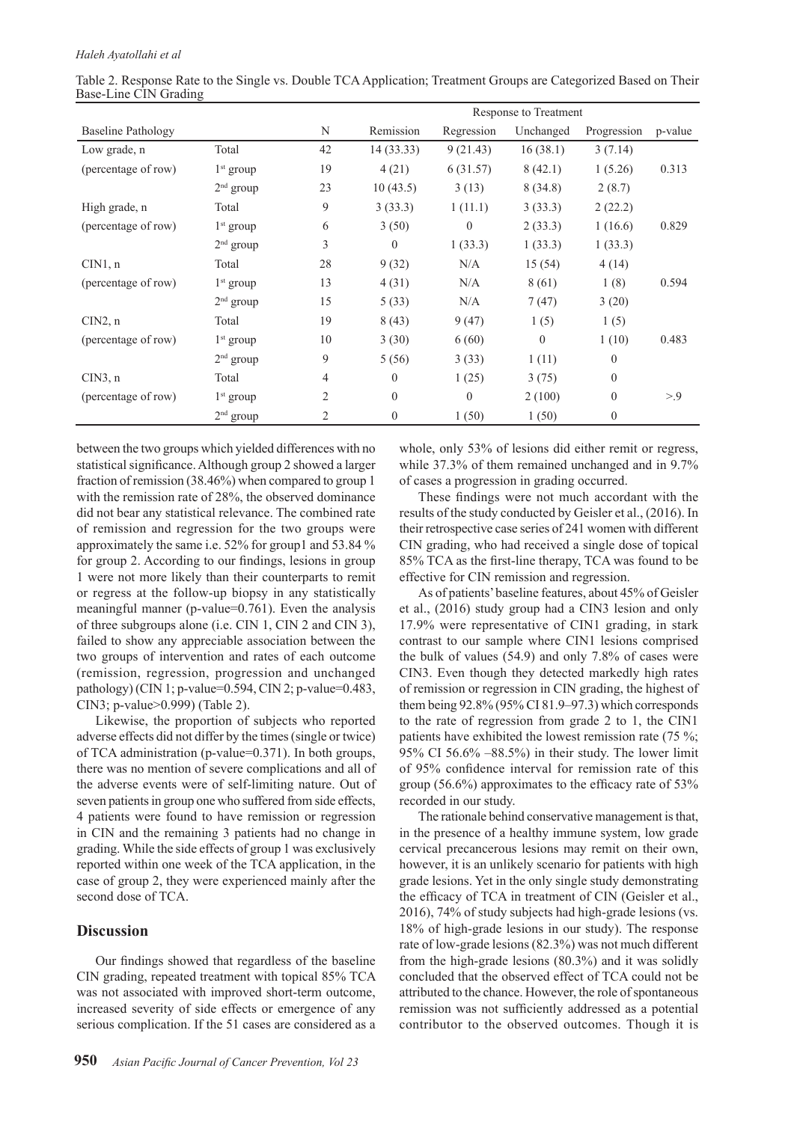|                           |             |                | Response to Treatment |            |           |                  |         |
|---------------------------|-------------|----------------|-----------------------|------------|-----------|------------------|---------|
| <b>Baseline Pathology</b> |             | N              | Remission             | Regression | Unchanged | Progression      | p-value |
| Low grade, n              | Total       | 42             | 14(33.33)             | 9(21.43)   | 16(38.1)  | 3(7.14)          |         |
| (percentage of row)       | $1st$ group | 19             | 4(21)                 | 6(31.57)   | 8(42.1)   | 1(5.26)          | 0.313   |
|                           | $2nd$ group | 23             | 10(43.5)              | 3(13)      | 8(34.8)   | 2(8.7)           |         |
| High grade, n             | Total       | 9              | 3(33.3)               | 1(11.1)    | 3(33.3)   | 2(22.2)          |         |
| (percentage of row)       | $1st$ group | 6              | 3(50)                 | $\theta$   | 2(33.3)   | 1(16.6)          | 0.829   |
|                           | $2nd$ group | 3              | $\theta$              | 1(33.3)    | 1(33.3)   | 1(33.3)          |         |
| CIN1, n                   | Total       | 28             | 9(32)                 | N/A        | 15(54)    | 4(14)            |         |
| (percentage of row)       | $1st$ group | 13             | 4(31)                 | N/A        | 8(61)     | 1(8)             | 0.594   |
|                           | $2nd$ group | 15             | 5(33)                 | N/A        | 7(47)     | 3(20)            |         |
| CIN2, n                   | Total       | 19             | 8(43)                 | 9(47)      | 1(5)      | 1(5)             |         |
| (percentage of row)       | $1st$ group | 10             | 3(30)                 | 6(60)      | $\theta$  | 1(10)            | 0.483   |
|                           | $2nd$ group | 9              | 5(56)                 | 3(33)      | 1(11)     | $\boldsymbol{0}$ |         |
| $CIN3$ , n                | Total       | $\overline{4}$ | $\theta$              | 1(25)      | 3(75)     | $\theta$         |         |
| (percentage of row)       | $1st$ group | $\overline{2}$ | $\boldsymbol{0}$      | $\theta$   | 2(100)    | $\theta$         | > 9     |
|                           | $2nd$ group | 2              | $\boldsymbol{0}$      | 1(50)      | 1(50)     | $\boldsymbol{0}$ |         |

Table 2. Response Rate to the Single vs. Double TCA Application; Treatment Groups are Categorized Based on Their Base-Line CIN Grading

between the two groups which yielded differences with no statistical significance. Although group 2 showed a larger fraction of remission (38.46%) when compared to group 1 with the remission rate of 28%, the observed dominance did not bear any statistical relevance. The combined rate of remission and regression for the two groups were approximately the same i.e. 52% for group1 and 53.84 % for group 2. According to our findings, lesions in group 1 were not more likely than their counterparts to remit or regress at the follow-up biopsy in any statistically meaningful manner (p-value=0.761). Even the analysis of three subgroups alone (i.e. CIN 1, CIN 2 and CIN 3), failed to show any appreciable association between the two groups of intervention and rates of each outcome (remission, regression, progression and unchanged pathology) (CIN 1; p-value=0.594, CIN 2; p-value=0.483, CIN3; p-value>0.999) (Table 2).

Likewise, the proportion of subjects who reported adverse effects did not differ by the times (single or twice) of TCA administration (p-value=0.371). In both groups, there was no mention of severe complications and all of the adverse events were of self-limiting nature. Out of seven patients in group one who suffered from side effects, 4 patients were found to have remission or regression in CIN and the remaining 3 patients had no change in grading. While the side effects of group 1 was exclusively reported within one week of the TCA application, in the case of group 2, they were experienced mainly after the second dose of TCA.

# **Discussion**

Our findings showed that regardless of the baseline CIN grading, repeated treatment with topical 85% TCA was not associated with improved short-term outcome, increased severity of side effects or emergence of any serious complication. If the 51 cases are considered as a whole, only 53% of lesions did either remit or regress, while 37.3% of them remained unchanged and in 9.7% of cases a progression in grading occurred.

These findings were not much accordant with the results of the study conducted by Geisler et al., (2016). In their retrospective case series of 241 women with different CIN grading, who had received a single dose of topical 85% TCA as the first-line therapy, TCA was found to be effective for CIN remission and regression.

As of patients' baseline features, about 45% of Geisler et al., (2016) study group had a CIN3 lesion and only 17.9% were representative of CIN1 grading, in stark contrast to our sample where CIN1 lesions comprised the bulk of values (54.9) and only 7.8% of cases were CIN3. Even though they detected markedly high rates of remission or regression in CIN grading, the highest of them being 92.8% (95% CI 81.9–97.3) which corresponds to the rate of regression from grade 2 to 1, the CIN1 patients have exhibited the lowest remission rate (75 %; 95% CI 56.6% –88.5%) in their study. The lower limit of 95% confidence interval for remission rate of this group (56.6%) approximates to the efficacy rate of 53% recorded in our study.

The rationale behind conservative management is that, in the presence of a healthy immune system, low grade cervical precancerous lesions may remit on their own, however, it is an unlikely scenario for patients with high grade lesions. Yet in the only single study demonstrating the efficacy of TCA in treatment of CIN (Geisler et al., 2016), 74% of study subjects had high-grade lesions (vs. 18% of high-grade lesions in our study). The response rate of low-grade lesions (82.3%) was not much different from the high-grade lesions (80.3%) and it was solidly concluded that the observed effect of TCA could not be attributed to the chance. However, the role of spontaneous remission was not sufficiently addressed as a potential contributor to the observed outcomes. Though it is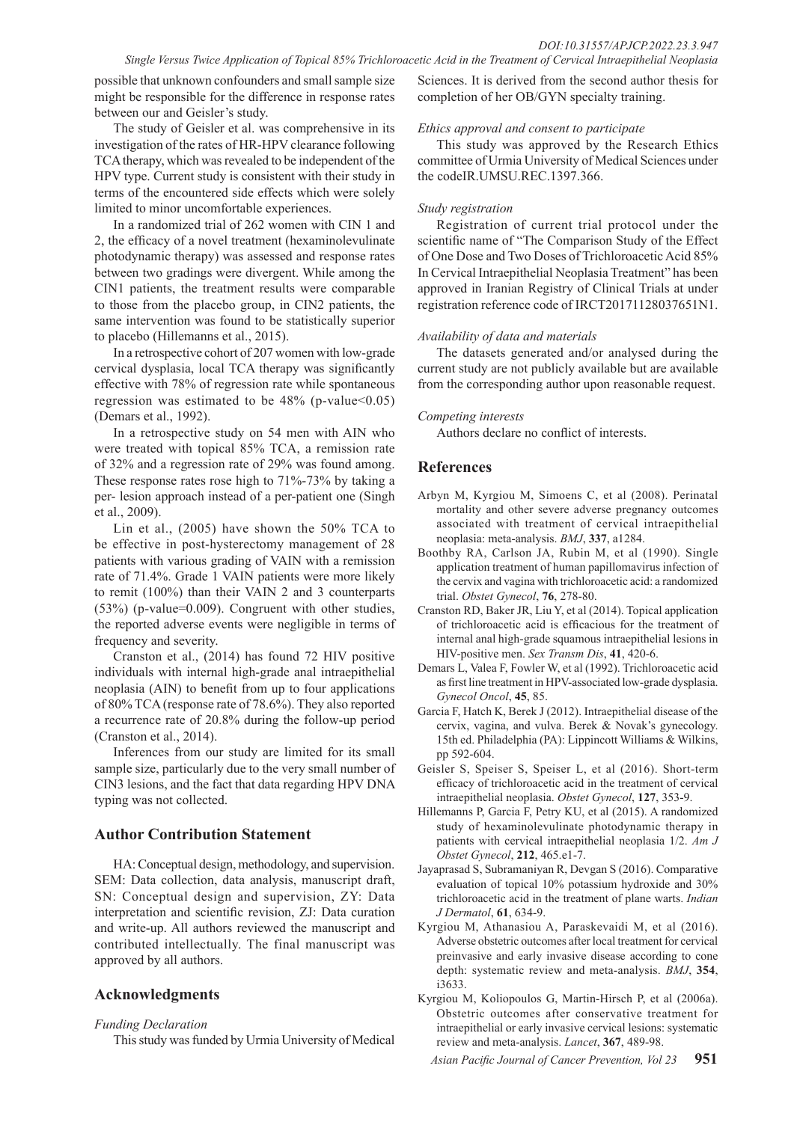#### *Single Versus Twice Application of Topical 85% Trichloroacetic Acid in the Treatment of Cervical Intraepithelial Neoplasia*

possible that unknown confounders and small sample size might be responsible for the difference in response rates between our and Geisler's study.

The study of Geisler et al. was comprehensive in its investigation of the rates of HR-HPV clearance following TCA therapy, which was revealed to be independent of the HPV type. Current study is consistent with their study in terms of the encountered side effects which were solely limited to minor uncomfortable experiences.

In a randomized trial of 262 women with CIN 1 and 2, the efficacy of a novel treatment (hexaminolevulinate photodynamic therapy) was assessed and response rates between two gradings were divergent. While among the CIN1 patients, the treatment results were comparable to those from the placebo group, in CIN2 patients, the same intervention was found to be statistically superior to placebo (Hillemanns et al., 2015).

In a retrospective cohort of 207 women with low-grade cervical dysplasia, local TCA therapy was significantly effective with 78% of regression rate while spontaneous regression was estimated to be  $48\%$  (p-value < 0.05) (Demars et al., 1992).

In a retrospective study on 54 men with AIN who were treated with topical 85% TCA, a remission rate of 32% and a regression rate of 29% was found among. These response rates rose high to 71%-73% by taking a per- lesion approach instead of a per-patient one (Singh et al., 2009).

Lin et al., (2005) have shown the 50% TCA to be effective in post-hysterectomy management of 28 patients with various grading of VAIN with a remission rate of 71.4%. Grade 1 VAIN patients were more likely to remit (100%) than their VAIN 2 and 3 counterparts (53%) (p-value=0.009). Congruent with other studies, the reported adverse events were negligible in terms of frequency and severity.

Cranston et al., (2014) has found 72 HIV positive individuals with internal high-grade anal intraepithelial neoplasia (AIN) to benefit from up to four applications of 80% TCA (response rate of 78.6%). They also reported a recurrence rate of 20.8% during the follow-up period (Cranston et al., 2014).

Inferences from our study are limited for its small sample size, particularly due to the very small number of CIN3 lesions, and the fact that data regarding HPV DNA typing was not collected.

## **Author Contribution Statement**

HA: Conceptual design, methodology, and supervision. SEM: Data collection, data analysis, manuscript draft, SN: Conceptual design and supervision, ZY: Data interpretation and scientific revision, ZJ: Data curation and write-up. All authors reviewed the manuscript and contributed intellectually. The final manuscript was approved by all authors.

# **Acknowledgments**

*Funding Declaration*

This study was funded by Urmia University of Medical

Sciences. It is derived from the second author thesis for completion of her OB/GYN specialty training.

#### *Ethics approval and consent to participate*

This study was approved by the Research Ethics committee of Urmia University of Medical Sciences under the codeIR.UMSU.REC.1397.366.

#### *Study registration*

Registration of current trial protocol under the scientific name of "The Comparison Study of the Effect of One Dose and Two Doses of Trichloroacetic Acid 85% In Cervical Intraepithelial Neoplasia Treatment" has been approved in Iranian Registry of Clinical Trials at under registration reference code of IRCT20171128037651N1.

#### *Availability of data and materials*

The datasets generated and/or analysed during the current study are not publicly available but are available from the corresponding author upon reasonable request.

#### *Competing interests*

Authors declare no conflict of interests.

## **References**

- Arbyn M, Kyrgiou M, Simoens C, et al (2008). Perinatal mortality and other severe adverse pregnancy outcomes associated with treatment of cervical intraepithelial neoplasia: meta-analysis. *BMJ*, **337**, a1284.
- Boothby RA, Carlson JA, Rubin M, et al (1990). Single application treatment of human papillomavirus infection of the cervix and vagina with trichloroacetic acid: a randomized trial. *Obstet Gynecol*, **76**, 278-80.
- Cranston RD, Baker JR, Liu Y, et al (2014). Topical application of trichloroacetic acid is efficacious for the treatment of internal anal high-grade squamous intraepithelial lesions in HIV-positive men. *Sex Transm Dis*, **41**, 420-6.
- Demars L, Valea F, Fowler W, et al (1992). Trichloroacetic acid as first line treatment in HPV-associated low-grade dysplasia. *Gynecol Oncol*, **45**, 85.
- Garcia F, Hatch K, Berek J (2012). Intraepithelial disease of the cervix, vagina, and vulva. Berek & Novak's gynecology. 15th ed. Philadelphia (PA): Lippincott Williams & Wilkins, pp 592-604.
- Geisler S, Speiser S, Speiser L, et al (2016). Short-term efficacy of trichloroacetic acid in the treatment of cervical intraepithelial neoplasia. *Obstet Gynecol*, **127**, 353-9.
- Hillemanns P, Garcia F, Petry KU, et al (2015). A randomized study of hexaminolevulinate photodynamic therapy in patients with cervical intraepithelial neoplasia 1/2. *Am J Obstet Gynecol*, **212**, 465.e1-7.
- Jayaprasad S, Subramaniyan R, Devgan S (2016). Comparative evaluation of topical 10% potassium hydroxide and 30% trichloroacetic acid in the treatment of plane warts. *Indian J Dermatol*, **61**, 634-9.
- Kyrgiou M, Athanasiou A, Paraskevaidi M, et al (2016). Adverse obstetric outcomes after local treatment for cervical preinvasive and early invasive disease according to cone depth: systematic review and meta-analysis. *BMJ*, **354**, i3633.
- Kyrgiou M, Koliopoulos G, Martin-Hirsch P, et al (2006a). Obstetric outcomes after conservative treatment for intraepithelial or early invasive cervical lesions: systematic review and meta-analysis. *Lancet*, **367**, 489-98.